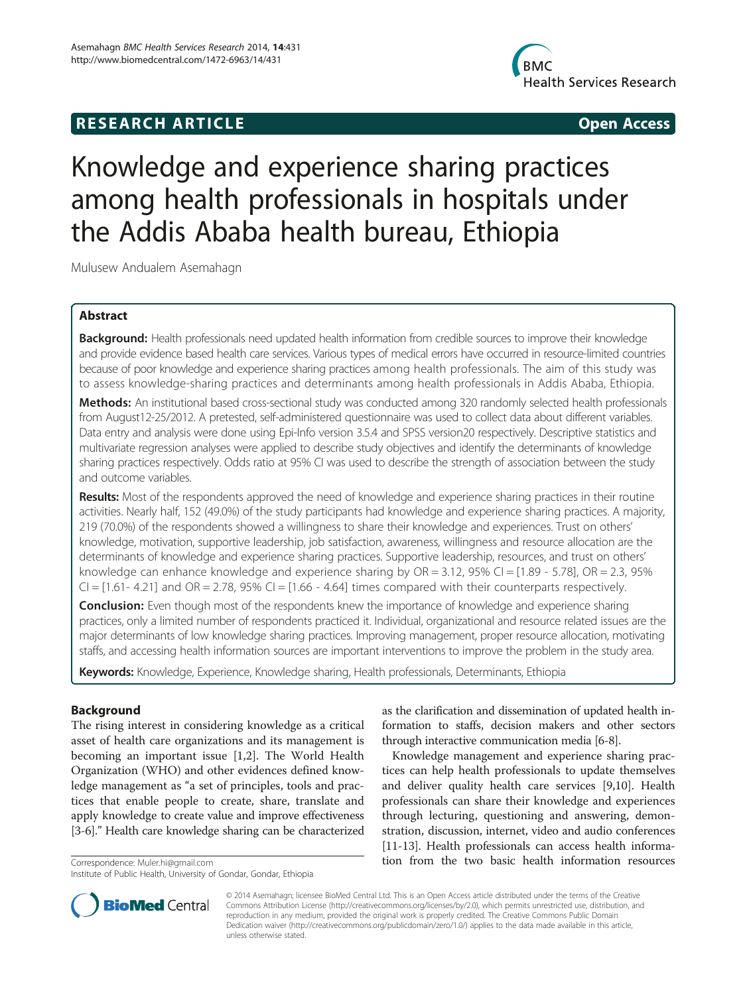## **RESEARCH ARTICLE Example 2014 CONSIDERING CONSIDERING CONSIDERING CONSIDERING CONSIDERING CONSIDERING CONSIDERING CONSIDERING CONSIDERING CONSIDERING CONSIDERING CONSIDERING CONSIDERING CONSIDERING CONSIDERING CONSIDE**



# Knowledge and experience sharing practices among health professionals in hospitals under the Addis Ababa health bureau, Ethiopia

Mulusew Andualem Asemahagn

## Abstract

Background: Health professionals need updated health information from credible sources to improve their knowledge and provide evidence based health care services. Various types of medical errors have occurred in resource-limited countries because of poor knowledge and experience sharing practices among health professionals. The aim of this study was to assess knowledge-sharing practices and determinants among health professionals in Addis Ababa, Ethiopia.

Methods: An institutional based cross-sectional study was conducted among 320 randomly selected health professionals from August12-25/2012. A pretested, self-administered questionnaire was used to collect data about different variables. Data entry and analysis were done using Epi-Info version 3.5.4 and SPSS version20 respectively. Descriptive statistics and multivariate regression analyses were applied to describe study objectives and identify the determinants of knowledge sharing practices respectively. Odds ratio at 95% CI was used to describe the strength of association between the study and outcome variables.

Results: Most of the respondents approved the need of knowledge and experience sharing practices in their routine activities. Nearly half, 152 (49.0%) of the study participants had knowledge and experience sharing practices. A majority, 219 (70.0%) of the respondents showed a willingness to share their knowledge and experiences. Trust on others' knowledge, motivation, supportive leadership, job satisfaction, awareness, willingness and resource allocation are the determinants of knowledge and experience sharing practices. Supportive leadership, resources, and trust on others' knowledge can enhance knowledge and experience sharing by  $OR = 3.12$ ,  $95\%$  CI =  $[1.89 - 5.78]$ ,  $OR = 2.3$ ,  $95\%$  $CI = [1.61 - 4.21]$  and  $OR = 2.78$ , 95%  $CI = [1.66 - 4.64]$  times compared with their counterparts respectively.

**Conclusion:** Even though most of the respondents knew the importance of knowledge and experience sharing practices, only a limited number of respondents practiced it. Individual, organizational and resource related issues are the major determinants of low knowledge sharing practices. Improving management, proper resource allocation, motivating staffs, and accessing health information sources are important interventions to improve the problem in the study area.

Keywords: Knowledge, Experience, Knowledge sharing, Health professionals, Determinants, Ethiopia

#### Background

The rising interest in considering knowledge as a critical asset of health care organizations and its management is becoming an important issue [\[1,2](#page-8-0)]. The World Health Organization (WHO) and other evidences defined knowledge management as "a set of principles, tools and practices that enable people to create, share, translate and apply knowledge to create value and improve effectiveness [[3-6\]](#page-8-0)." Health care knowledge sharing can be characterized

as the clarification and dissemination of updated health information to staffs, decision makers and other sectors through interactive communication media [\[6-8](#page-8-0)].

Knowledge management and experience sharing practices can help health professionals to update themselves and deliver quality health care services [[9,10\]](#page-8-0). Health professionals can share their knowledge and experiences through lecturing, questioning and answering, demonstration, discussion, internet, video and audio conferences [[11](#page-8-0)-[13\]](#page-8-0). Health professionals can access health informa-Correspondence: [Muler.hi@gmail.com](mailto:Muler.hi@gmail.com) the two basic health information resources



© 2014 Asemahagn; licensee BioMed Central Ltd. This is an Open Access article distributed under the terms of the Creative Commons Attribution License [\(http://creativecommons.org/licenses/by/2.0\)](http://creativecommons.org/licenses/by/2.0), which permits unrestricted use, distribution, and reproduction in any medium, provided the original work is properly credited. The Creative Commons Public Domain Dedication waiver [\(http://creativecommons.org/publicdomain/zero/1.0/](http://creativecommons.org/publicdomain/zero/1.0/)) applies to the data made available in this article, unless otherwise stated.

Institute of Public Health, University of Gondar, Gondar, Ethiopia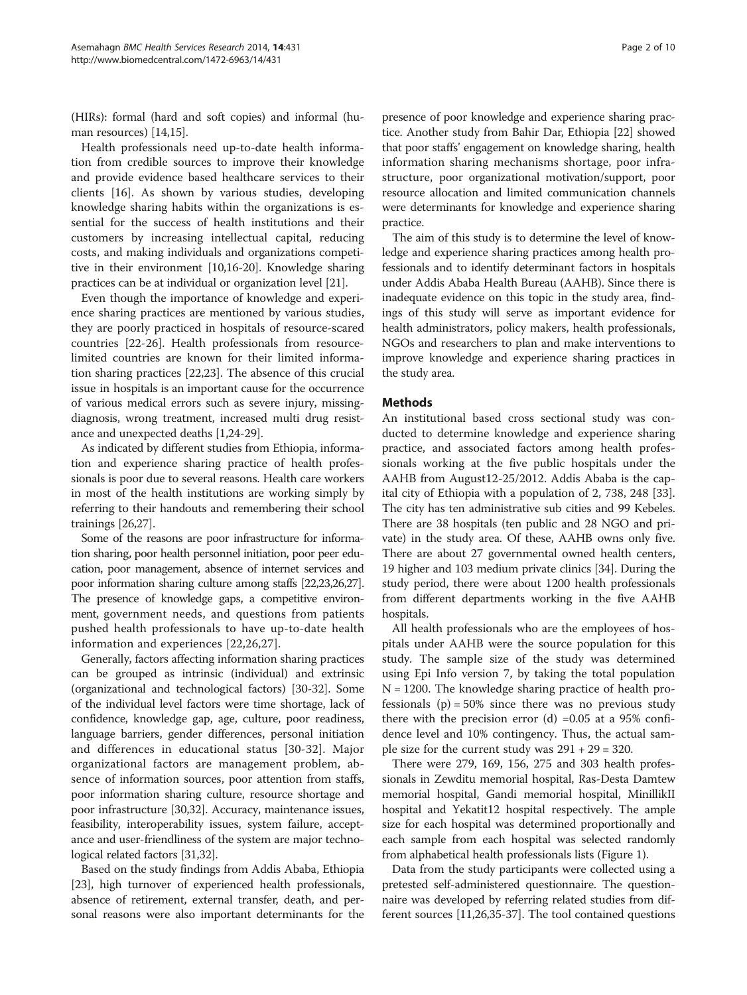(HIRs): formal (hard and soft copies) and informal (human resources) [[14,15\]](#page-8-0).

Health professionals need up-to-date health information from credible sources to improve their knowledge and provide evidence based healthcare services to their clients [[16\]](#page-8-0). As shown by various studies, developing knowledge sharing habits within the organizations is essential for the success of health institutions and their customers by increasing intellectual capital, reducing costs, and making individuals and organizations competitive in their environment [[10,16](#page-8-0)-[20](#page-8-0)]. Knowledge sharing practices can be at individual or organization level [[21](#page-8-0)].

Even though the importance of knowledge and experience sharing practices are mentioned by various studies, they are poorly practiced in hospitals of resource-scared countries [[22-26](#page-8-0)]. Health professionals from resourcelimited countries are known for their limited information sharing practices [[22,23\]](#page-8-0). The absence of this crucial issue in hospitals is an important cause for the occurrence of various medical errors such as severe injury, missingdiagnosis, wrong treatment, increased multi drug resistance and unexpected deaths [\[1,24-29\]](#page-8-0).

As indicated by different studies from Ethiopia, information and experience sharing practice of health professionals is poor due to several reasons. Health care workers in most of the health institutions are working simply by referring to their handouts and remembering their school trainings [\[26,27\]](#page-8-0).

Some of the reasons are poor infrastructure for information sharing, poor health personnel initiation, poor peer education, poor management, absence of internet services and poor information sharing culture among staffs [\[22,23,26,27\]](#page-8-0). The presence of knowledge gaps, a competitive environment, government needs, and questions from patients pushed health professionals to have up-to-date health information and experiences [[22,26,27](#page-8-0)].

Generally, factors affecting information sharing practices can be grouped as intrinsic (individual) and extrinsic (organizational and technological factors) [[30](#page-8-0)-[32](#page-8-0)]. Some of the individual level factors were time shortage, lack of confidence, knowledge gap, age, culture, poor readiness, language barriers, gender differences, personal initiation and differences in educational status [[30](#page-8-0)-[32](#page-8-0)]. Major organizational factors are management problem, absence of information sources, poor attention from staffs, poor information sharing culture, resource shortage and poor infrastructure [\[30,32\]](#page-8-0). Accuracy, maintenance issues, feasibility, interoperability issues, system failure, acceptance and user-friendliness of the system are major technological related factors [\[31,32\]](#page-8-0).

Based on the study findings from Addis Ababa, Ethiopia [[23](#page-8-0)], high turnover of experienced health professionals, absence of retirement, external transfer, death, and personal reasons were also important determinants for the

presence of poor knowledge and experience sharing practice. Another study from Bahir Dar, Ethiopia [\[22\]](#page-8-0) showed that poor staffs' engagement on knowledge sharing, health information sharing mechanisms shortage, poor infrastructure, poor organizational motivation/support, poor resource allocation and limited communication channels were determinants for knowledge and experience sharing practice.

The aim of this study is to determine the level of knowledge and experience sharing practices among health professionals and to identify determinant factors in hospitals under Addis Ababa Health Bureau (AAHB). Since there is inadequate evidence on this topic in the study area, findings of this study will serve as important evidence for health administrators, policy makers, health professionals, NGOs and researchers to plan and make interventions to improve knowledge and experience sharing practices in the study area.

## Methods

An institutional based cross sectional study was conducted to determine knowledge and experience sharing practice, and associated factors among health professionals working at the five public hospitals under the AAHB from August12-25/2012. Addis Ababa is the capital city of Ethiopia with a population of 2, 738, 248 [\[33](#page-8-0)]. The city has ten administrative sub cities and 99 Kebeles. There are 38 hospitals (ten public and 28 NGO and private) in the study area. Of these, AAHB owns only five. There are about 27 governmental owned health centers, 19 higher and 103 medium private clinics [\[34\]](#page-8-0). During the study period, there were about 1200 health professionals from different departments working in the five AAHB hospitals.

All health professionals who are the employees of hospitals under AAHB were the source population for this study. The sample size of the study was determined using Epi Info version 7, by taking the total population  $N = 1200$ . The knowledge sharing practice of health professionals  $(p) = 50\%$  since there was no previous study there with the precision error  $(d)$  =0.05 at a 95% confidence level and 10% contingency. Thus, the actual sample size for the current study was  $291 + 29 = 320$ .

There were 279, 169, 156, 275 and 303 health professionals in Zewditu memorial hospital, Ras-Desta Damtew memorial hospital, Gandi memorial hospital, MinillikII hospital and Yekatit12 hospital respectively. The ample size for each hospital was determined proportionally and each sample from each hospital was selected randomly from alphabetical health professionals lists (Figure [1](#page-2-0)).

Data from the study participants were collected using a pretested self-administered questionnaire. The questionnaire was developed by referring related studies from different sources [\[11,26,35-37](#page-8-0)]. The tool contained questions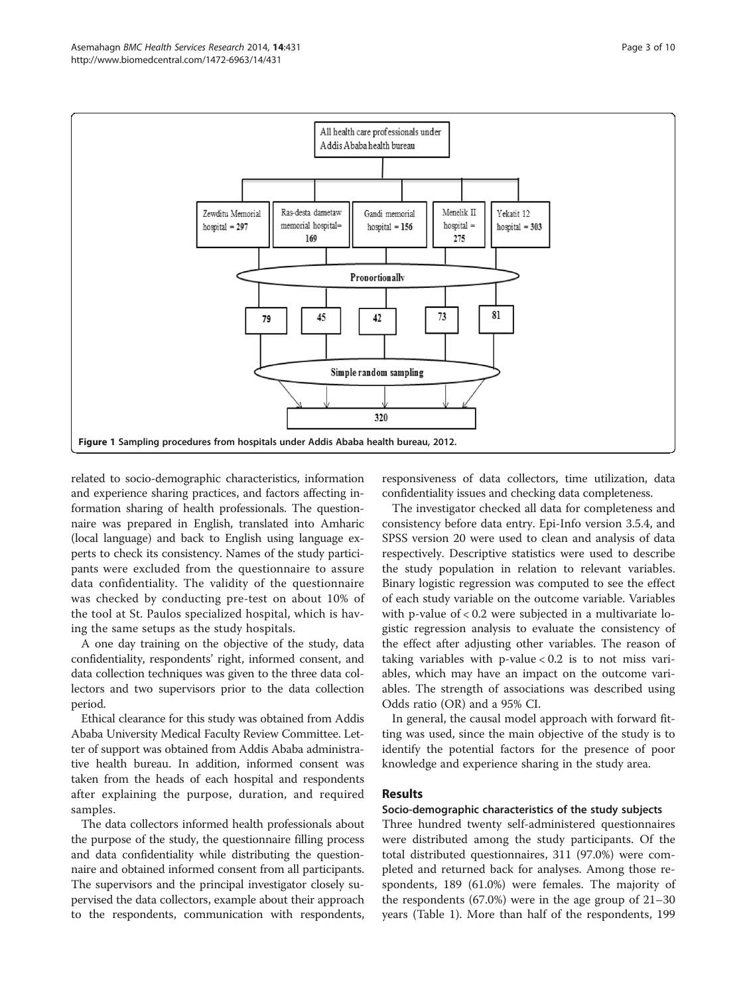<span id="page-2-0"></span>

related to socio-demographic characteristics, information and experience sharing practices, and factors affecting information sharing of health professionals. The questionnaire was prepared in English, translated into Amharic (local language) and back to English using language experts to check its consistency. Names of the study participants were excluded from the questionnaire to assure data confidentiality. The validity of the questionnaire was checked by conducting pre-test on about 10% of the tool at St. Paulos specialized hospital, which is having the same setups as the study hospitals.

A one day training on the objective of the study, data confidentiality, respondents' right, informed consent, and data collection techniques was given to the three data collectors and two supervisors prior to the data collection period.

Ethical clearance for this study was obtained from Addis Ababa University Medical Faculty Review Committee. Letter of support was obtained from Addis Ababa administrative health bureau. In addition, informed consent was taken from the heads of each hospital and respondents after explaining the purpose, duration, and required samples.

The data collectors informed health professionals about the purpose of the study, the questionnaire filling process and data confidentiality while distributing the questionnaire and obtained informed consent from all participants. The supervisors and the principal investigator closely supervised the data collectors, example about their approach to the respondents, communication with respondents,

responsiveness of data collectors, time utilization, data confidentiality issues and checking data completeness.

The investigator checked all data for completeness and consistency before data entry. Epi-Info version 3.5.4, and SPSS version 20 were used to clean and analysis of data respectively. Descriptive statistics were used to describe the study population in relation to relevant variables. Binary logistic regression was computed to see the effect of each study variable on the outcome variable. Variables with p-value of < 0.2 were subjected in a multivariate logistic regression analysis to evaluate the consistency of the effect after adjusting other variables. The reason of taking variables with p-value < 0.2 is to not miss variables, which may have an impact on the outcome variables. The strength of associations was described using Odds ratio (OR) and a 95% CI.

In general, the causal model approach with forward fitting was used, since the main objective of the study is to identify the potential factors for the presence of poor knowledge and experience sharing in the study area.

#### Results

### Socio-demographic characteristics of the study subjects

Three hundred twenty self-administered questionnaires were distributed among the study participants. Of the total distributed questionnaires, 311 (97.0%) were completed and returned back for analyses. Among those respondents, 189 (61.0%) were females. The majority of the respondents (67.0%) were in the age group of 21–30 years (Table [1](#page-3-0)). More than half of the respondents, 199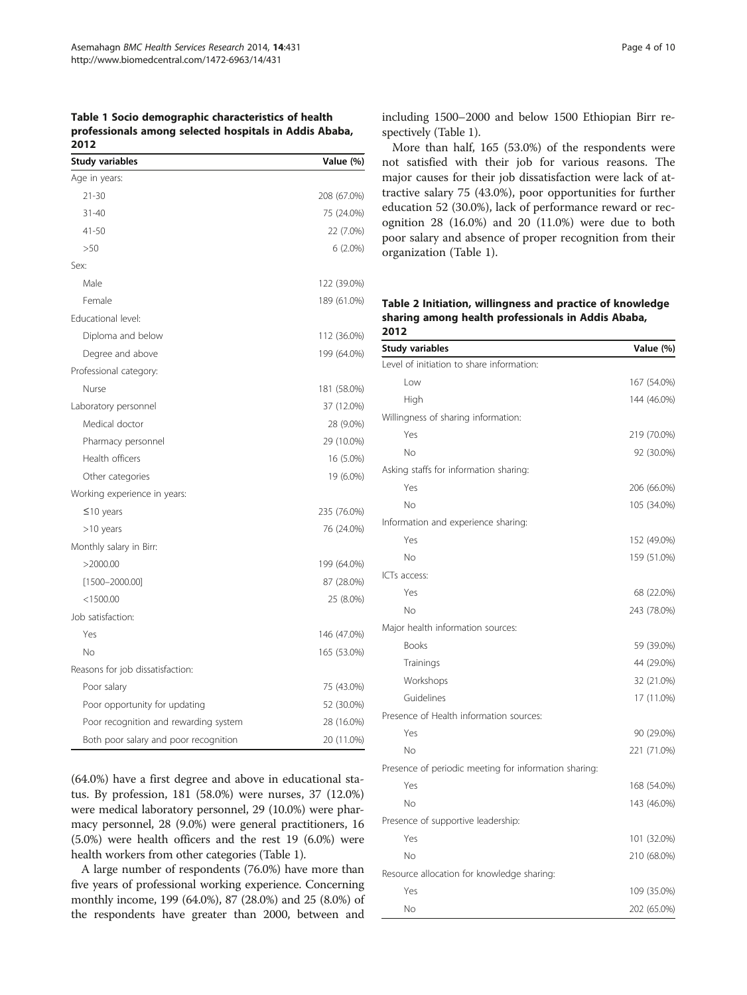<span id="page-3-0"></span>Table 1 Socio demographic characteristics of health professionals among selected hospitals in Addis Ababa, 2012

| <b>Study variables</b>                | Value (%)   |
|---------------------------------------|-------------|
| Age in years:                         |             |
| $21 - 30$                             | 208 (67.0%) |
| $31 - 40$                             | 75 (24.0%)  |
| $41 - 50$                             | 22 (7.0%)   |
| >50                                   | $6(2.0\%)$  |
| Sex:                                  |             |
| Male                                  | 122 (39.0%) |
| Female                                | 189 (61.0%) |
| Educational level:                    |             |
| Diploma and below                     | 112 (36.0%) |
| Degree and above                      | 199 (64.0%) |
| Professional category:                |             |
| Nurse                                 | 181 (58.0%) |
| Laboratory personnel                  | 37 (12.0%)  |
| Medical doctor                        | 28 (9.0%)   |
| Pharmacy personnel                    | 29 (10.0%)  |
| Health officers                       | 16 (5.0%)   |
| Other categories                      | 19 (6.0%)   |
| Working experience in years:          |             |
| $\leq$ 10 years                       | 235 (76.0%) |
| >10 years                             | 76 (24.0%)  |
| Monthly salary in Birr:               |             |
| >2000.00                              | 199 (64.0%) |
| $[1500 - 2000.00]$                    | 87 (28.0%)  |
| $<$ 1500.00                           | 25 (8.0%)   |
| Job satisfaction:                     |             |
| Yes                                   | 146 (47.0%) |
| <b>No</b>                             | 165 (53.0%) |
| Reasons for job dissatisfaction:      |             |
| Poor salary                           | 75 (43.0%)  |
| Poor opportunity for updating         | 52 (30.0%)  |
| Poor recognition and rewarding system | 28 (16.0%)  |
| Both poor salary and poor recognition | 20 (11.0%)  |

(64.0%) have a first degree and above in educational status. By profession, 181 (58.0%) were nurses, 37 (12.0%) were medical laboratory personnel, 29 (10.0%) were pharmacy personnel, 28 (9.0%) were general practitioners, 16 (5.0%) were health officers and the rest 19 (6.0%) were health workers from other categories (Table 1).

A large number of respondents (76.0%) have more than five years of professional working experience. Concerning monthly income, 199 (64.0%), 87 (28.0%) and 25 (8.0%) of the respondents have greater than 2000, between and

including 1500–2000 and below 1500 Ethiopian Birr respectively (Table 1).

More than half, 165 (53.0%) of the respondents were not satisfied with their job for various reasons. The major causes for their job dissatisfaction were lack of attractive salary 75 (43.0%), poor opportunities for further education 52 (30.0%), lack of performance reward or recognition 28 (16.0%) and 20 (11.0%) were due to both poor salary and absence of proper recognition from their organization (Table 1).

Table 2 Initiation, willingness and practice of knowledge sharing among health professionals in Addis Ababa,  $2012$ 

| Study variables                                       | Value (%)   |
|-------------------------------------------------------|-------------|
| Level of initiation to share information:             |             |
| Low                                                   | 167 (54.0%) |
| High                                                  | 144 (46.0%) |
| Willingness of sharing information:                   |             |
| Yes                                                   | 219 (70.0%) |
| No                                                    | 92 (30.0%)  |
| Asking staffs for information sharing:                |             |
| Yes                                                   | 206 (66.0%) |
| No                                                    | 105 (34.0%) |
| Information and experience sharing:                   |             |
| Yes                                                   | 152 (49.0%) |
| No                                                    | 159 (51.0%) |
| ICTs access:                                          |             |
| Yes                                                   | 68 (22.0%)  |
| No                                                    | 243 (78.0%) |
| Major health information sources:                     |             |
| <b>Books</b>                                          | 59 (39.0%)  |
| Trainings                                             | 44 (29.0%)  |
| Workshops                                             | 32 (21.0%)  |
| Guidelines                                            | 17 (11.0%)  |
| Presence of Health information sources:               |             |
| Yes                                                   | 90 (29.0%)  |
| No                                                    | 221 (71.0%) |
| Presence of periodic meeting for information sharing: |             |
| Yes                                                   | 168 (54.0%) |
| <b>No</b>                                             | 143 (46.0%) |
| Presence of supportive leadership:                    |             |
| Yes                                                   | 101 (32.0%) |
| <b>No</b>                                             | 210 (68.0%) |
| Resource allocation for knowledge sharing:            |             |
| Yes                                                   | 109 (35.0%) |
| No                                                    | 202 (65.0%) |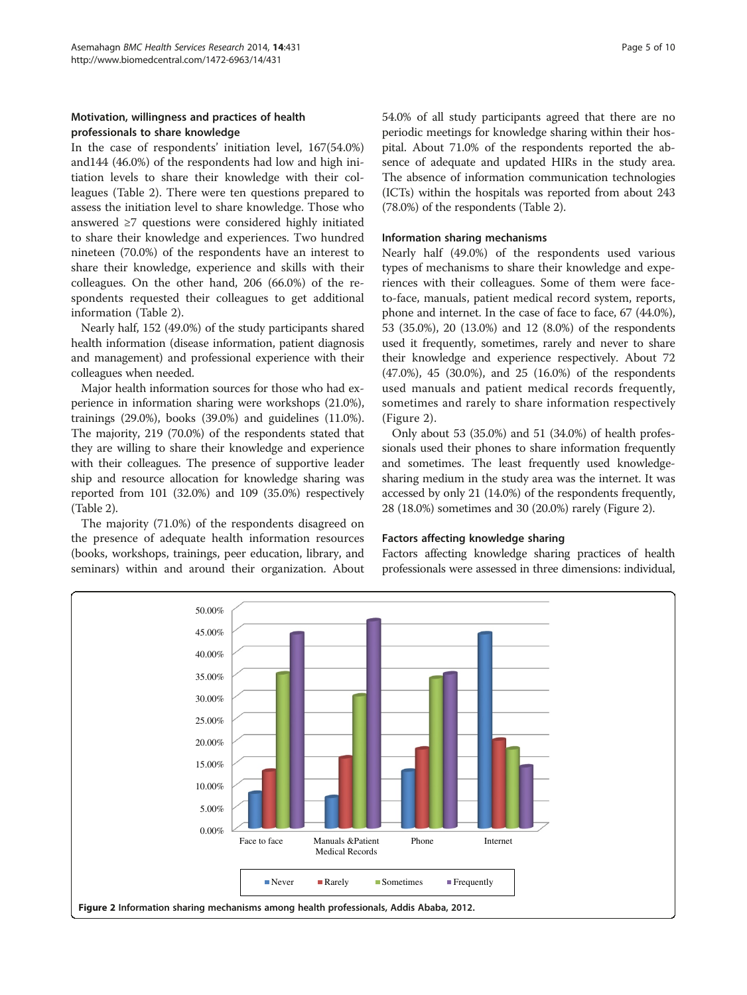## Motivation, willingness and practices of health professionals to share knowledge

In the case of respondents' initiation level, 167(54.0%) and144 (46.0%) of the respondents had low and high initiation levels to share their knowledge with their colleagues (Table [2\)](#page-3-0). There were ten questions prepared to assess the initiation level to share knowledge. Those who answered ≥7 questions were considered highly initiated to share their knowledge and experiences. Two hundred nineteen (70.0%) of the respondents have an interest to share their knowledge, experience and skills with their colleagues. On the other hand, 206 (66.0%) of the respondents requested their colleagues to get additional information (Table [2](#page-3-0)).

Nearly half, 152 (49.0%) of the study participants shared health information (disease information, patient diagnosis and management) and professional experience with their colleagues when needed.

Major health information sources for those who had experience in information sharing were workshops (21.0%), trainings (29.0%), books (39.0%) and guidelines (11.0%). The majority, 219 (70.0%) of the respondents stated that they are willing to share their knowledge and experience with their colleagues. The presence of supportive leader ship and resource allocation for knowledge sharing was reported from 101 (32.0%) and 109 (35.0%) respectively (Table [2](#page-3-0)).

The majority (71.0%) of the respondents disagreed on the presence of adequate health information resources (books, workshops, trainings, peer education, library, and seminars) within and around their organization. About 54.0% of all study participants agreed that there are no periodic meetings for knowledge sharing within their hospital. About 71.0% of the respondents reported the absence of adequate and updated HIRs in the study area. The absence of information communication technologies (ICTs) within the hospitals was reported from about 243 (78.0%) of the respondents (Table [2](#page-3-0)).

#### Information sharing mechanisms

Nearly half (49.0%) of the respondents used various types of mechanisms to share their knowledge and experiences with their colleagues. Some of them were faceto-face, manuals, patient medical record system, reports, phone and internet. In the case of face to face, 67 (44.0%), 53 (35.0%), 20 (13.0%) and 12 (8.0%) of the respondents used it frequently, sometimes, rarely and never to share their knowledge and experience respectively. About 72 (47.0%), 45 (30.0%), and 25 (16.0%) of the respondents used manuals and patient medical records frequently, sometimes and rarely to share information respectively (Figure 2).

Only about 53 (35.0%) and 51 (34.0%) of health professionals used their phones to share information frequently and sometimes. The least frequently used knowledgesharing medium in the study area was the internet. It was accessed by only 21 (14.0%) of the respondents frequently, 28 (18.0%) sometimes and 30 (20.0%) rarely (Figure 2).

#### Factors affecting knowledge sharing

Factors affecting knowledge sharing practices of health professionals were assessed in three dimensions: individual,

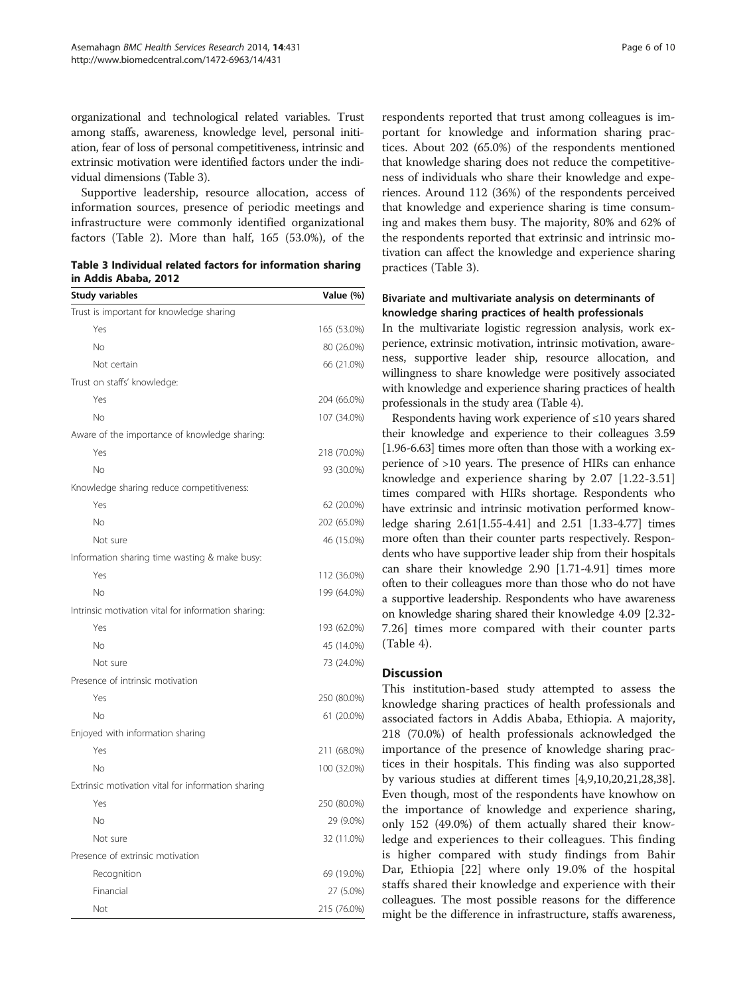organizational and technological related variables. Trust among staffs, awareness, knowledge level, personal initiation, fear of loss of personal competitiveness, intrinsic and extrinsic motivation were identified factors under the individual dimensions (Table 3).

Supportive leadership, resource allocation, access of information sources, presence of periodic meetings and infrastructure were commonly identified organizational factors (Table [2](#page-3-0)). More than half, 165 (53.0%), of the

Table 3 Individual related factors for information sharing in Addis Ababa, 2012

| <b>Study variables</b>                              | Value (%)   |
|-----------------------------------------------------|-------------|
| Trust is important for knowledge sharing            |             |
| Yes                                                 | 165 (53.0%) |
| <b>No</b>                                           | 80 (26.0%)  |
| Not certain                                         | 66 (21.0%)  |
| Trust on staffs' knowledge:                         |             |
| Yes                                                 | 204 (66.0%) |
| No                                                  | 107 (34.0%) |
| Aware of the importance of knowledge sharing:       |             |
| Yes                                                 | 218 (70.0%) |
| No                                                  | 93 (30.0%)  |
| Knowledge sharing reduce competitiveness:           |             |
| Yes                                                 | 62 (20.0%)  |
| <b>No</b>                                           | 202 (65.0%) |
| Not sure                                            | 46 (15.0%)  |
| Information sharing time wasting & make busy:       |             |
| Yes                                                 | 112 (36.0%) |
| <b>No</b>                                           | 199 (64.0%) |
| Intrinsic motivation vital for information sharing: |             |
| Yes                                                 | 193 (62.0%) |
| <b>No</b>                                           | 45 (14.0%)  |
| Not sure                                            | 73 (24.0%)  |
| Presence of intrinsic motivation                    |             |
| Yes                                                 | 250 (80.0%) |
| No                                                  | 61 (20.0%)  |
| Enjoyed with information sharing                    |             |
| Yes                                                 | 211 (68.0%) |
| <b>No</b>                                           | 100 (32.0%) |
| Extrinsic motivation vital for information sharing  |             |
| Yes                                                 | 250 (80.0%) |
| <b>No</b>                                           | 29 (9.0%)   |
| Not sure                                            | 32 (11.0%)  |
| Presence of extrinsic motivation                    |             |
| Recognition                                         | 69 (19.0%)  |
| Financial                                           | 27 (5.0%)   |
| Not                                                 | 215 (76.0%) |

respondents reported that trust among colleagues is important for knowledge and information sharing practices. About 202 (65.0%) of the respondents mentioned that knowledge sharing does not reduce the competitiveness of individuals who share their knowledge and experiences. Around 112 (36%) of the respondents perceived that knowledge and experience sharing is time consuming and makes them busy. The majority, 80% and 62% of the respondents reported that extrinsic and intrinsic motivation can affect the knowledge and experience sharing practices (Table 3).

## Bivariate and multivariate analysis on determinants of knowledge sharing practices of health professionals

In the multivariate logistic regression analysis, work experience, extrinsic motivation, intrinsic motivation, awareness, supportive leader ship, resource allocation, and willingness to share knowledge were positively associated with knowledge and experience sharing practices of health professionals in the study area (Table [4](#page-6-0)).

Respondents having work experience of ≤10 years shared their knowledge and experience to their colleagues 3.59 [1.96-6.63] times more often than those with a working experience of >10 years. The presence of HIRs can enhance knowledge and experience sharing by 2.07 [1.22-3.51] times compared with HIRs shortage. Respondents who have extrinsic and intrinsic motivation performed knowledge sharing 2.61[1.55-4.41] and 2.51 [1.33-4.77] times more often than their counter parts respectively. Respondents who have supportive leader ship from their hospitals can share their knowledge 2.90 [1.71-4.91] times more often to their colleagues more than those who do not have a supportive leadership. Respondents who have awareness on knowledge sharing shared their knowledge 4.09 [2.32- 7.26] times more compared with their counter parts (Table [4\)](#page-6-0).

#### **Discussion**

This institution-based study attempted to assess the knowledge sharing practices of health professionals and associated factors in Addis Ababa, Ethiopia. A majority, 218 (70.0%) of health professionals acknowledged the importance of the presence of knowledge sharing practices in their hospitals. This finding was also supported by various studies at different times [\[4](#page-8-0),[9](#page-8-0),[10](#page-8-0),[20](#page-8-0),[21,28,38](#page-8-0)]. Even though, most of the respondents have knowhow on the importance of knowledge and experience sharing, only 152 (49.0%) of them actually shared their knowledge and experiences to their colleagues. This finding is higher compared with study findings from Bahir Dar, Ethiopia [[22\]](#page-8-0) where only 19.0% of the hospital staffs shared their knowledge and experience with their colleagues. The most possible reasons for the difference might be the difference in infrastructure, staffs awareness,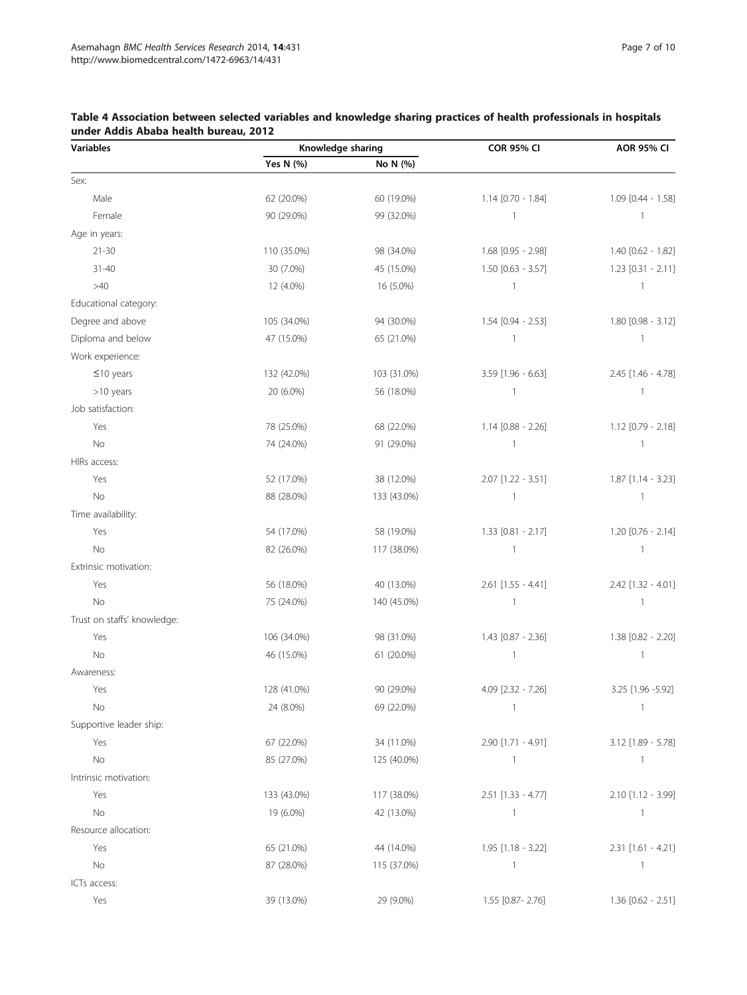| <b>Variables</b>            | Knowledge sharing |             | <b>COR 95% CI</b>        | <b>AOR 95% CI</b>        |  |
|-----------------------------|-------------------|-------------|--------------------------|--------------------------|--|
|                             | Yes N (%)         | No N (%)    |                          |                          |  |
| Sex:                        |                   |             |                          |                          |  |
| Male                        | 62 (20.0%)        | 60 (19.0%)  | 1.14 [0.70 - 1.84]       | 1.09 [0.44 - 1.58]       |  |
| Female                      | 90 (29.0%)        | 99 (32.0%)  | $\mathbf{1}$             | $\mathbf{1}$             |  |
| Age in years:               |                   |             |                          |                          |  |
| $21 - 30$                   | 110 (35.0%)       | 98 (34.0%)  | 1.68 [0.95 - 2.98]       | 1.40 [0.62 - 1.82]       |  |
| $31 - 40$                   | 30 (7.0%)         | 45 (15.0%)  | $1.50$ [0.63 - 3.57]     | $1.23$ [0.31 - 2.11]     |  |
| >40                         | 12 (4.0%)         | 16 (5.0%)   | $\mathbf{1}$             | $\mathbf{1}$             |  |
| Educational category:       |                   |             |                          |                          |  |
| Degree and above            | 105 (34.0%)       | 94 (30.0%)  | 1.54 [0.94 - 2.53]       | $1.80$ [0.98 - 3.12]     |  |
| Diploma and below           | 47 (15.0%)        | 65 (21.0%)  | $\overline{1}$           | $\overline{\phantom{a}}$ |  |
| Work experience:            |                   |             |                          |                          |  |
| $≤10$ years                 | 132 (42.0%)       | 103 (31.0%) | 3.59 [1.96 - 6.63]       | 2.45 [1.46 - 4.78]       |  |
| >10 years                   | 20 (6.0%)         | 56 (18.0%)  | $\mathbf{1}$             | $\mathbf{1}$             |  |
| Job satisfaction:           |                   |             |                          |                          |  |
| Yes                         | 78 (25.0%)        | 68 (22.0%)  | 1.14 [0.88 - 2.26]       | 1.12 [0.79 - 2.18]       |  |
| No                          | 74 (24.0%)        | 91 (29.0%)  | $\overline{1}$           | $\overline{\phantom{a}}$ |  |
| HIRs access:                |                   |             |                          |                          |  |
| Yes                         | 52 (17.0%)        | 38 (12.0%)  | 2.07 [1.22 - 3.51]       | $1.87$ [1.14 - 3.23]     |  |
| No                          | 88 (28.0%)        | 133 (43.0%) | $\overline{\phantom{a}}$ | $\mathbf{1}$             |  |
| Time availability:          |                   |             |                          |                          |  |
| Yes                         | 54 (17.0%)        | 58 (19.0%)  | 1.33 [0.81 - 2.17]       | $1.20$ [0.76 - 2.14]     |  |
| No                          | 82 (26.0%)        | 117 (38.0%) | $\overline{1}$           | $\overline{\phantom{a}}$ |  |
| Extrinsic motivation:       |                   |             |                          |                          |  |
| Yes                         | 56 (18.0%)        | 40 (13.0%)  | $2.61$ [1.55 - 4.41]     | $2.42$ [1.32 - 4.01]     |  |
| No                          | 75 (24.0%)        | 140 (45.0%) | $\mathbf{1}$             | $\mathbf{1}$             |  |
| Trust on staffs' knowledge: |                   |             |                          |                          |  |
| Yes                         | 106 (34.0%)       | 98 (31.0%)  | 1.43 [0.87 - 2.36]       | 1.38 [0.82 - 2.20]       |  |
| No                          | 46 (15.0%)        | 61 (20.0%)  | $\overline{1}$           | $\mathbf{1}$             |  |
| Awareness:                  |                   |             |                          |                          |  |
| Yes                         | 128 (41.0%)       | 90 (29.0%)  | 4.09 [2.32 - 7.26]       | 3.25 [1.96 -5.92]        |  |
| No                          | 24 (8.0%)         | 69 (22.0%)  | -1                       |                          |  |
| Supportive leader ship:     |                   |             |                          |                          |  |
| Yes                         | 67 (22.0%)        | 34 (11.0%)  | 2.90 [1.71 - 4.91]       | 3.12 [1.89 - 5.78]       |  |
| No                          | 85 (27.0%)        | 125 (40.0%) | $\overline{1}$           | $\overline{1}$           |  |
| Intrinsic motivation:       |                   |             |                          |                          |  |
| Yes                         | 133 (43.0%)       | 117 (38.0%) | $2.51$ [1.33 - 4.77]     | 2.10 [1.12 - 3.99]       |  |
| No                          | 19 (6.0%)         | 42 (13.0%)  | $\overline{1}$           | $\overline{1}$           |  |
| Resource allocation:        |                   |             |                          |                          |  |
| Yes                         | 65 (21.0%)        | 44 (14.0%)  | $1.95$ [1.18 - 3.22]     | $2.31$ [1.61 - 4.21]     |  |
| No                          | 87 (28.0%)        | 115 (37.0%) | $\overline{1}$           | $\overline{1}$           |  |
| ICTs access:                |                   |             |                          |                          |  |
| Yes                         | 39 (13.0%)        | 29 (9.0%)   | 1.55 [0.87-2.76]         | $1.36$ [0.62 - 2.51]     |  |
|                             |                   |             |                          |                          |  |

<span id="page-6-0"></span>

| Table 4 Association between selected variables and knowledge sharing practices of health professionals in hospitals |  |  |  |  |
|---------------------------------------------------------------------------------------------------------------------|--|--|--|--|
| under Addis Ababa health bureau, 2012                                                                               |  |  |  |  |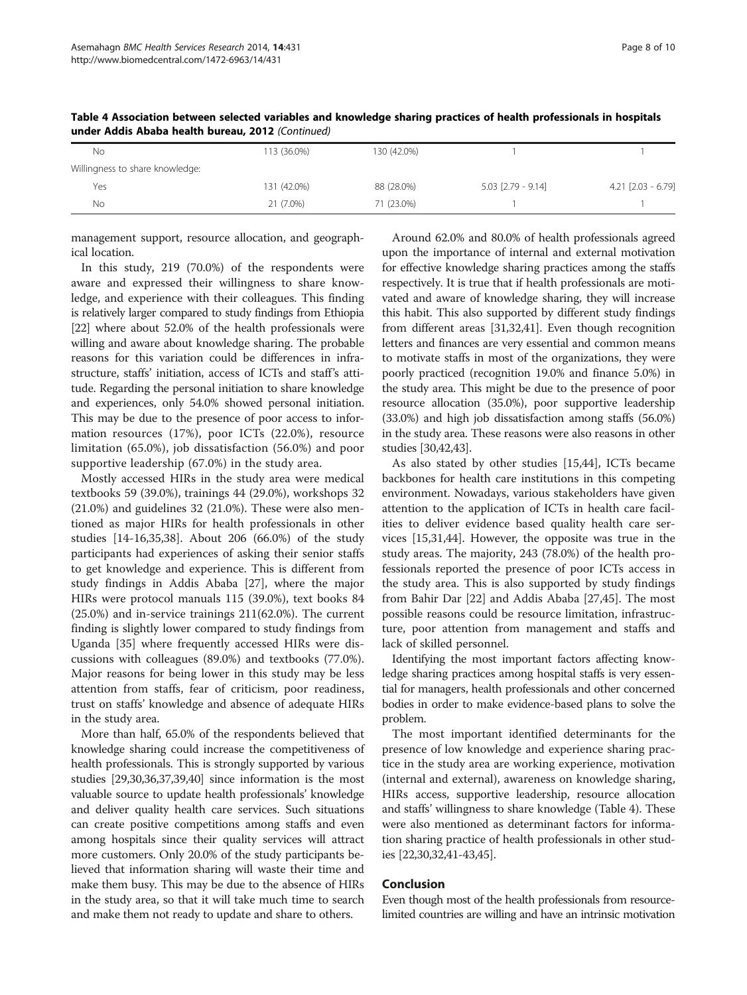| No.                             | 113 (36.0%) | 130 (42.0%) |                        |                    |
|---------------------------------|-------------|-------------|------------------------|--------------------|
| Willingness to share knowledge: |             |             |                        |                    |
| Yes                             | 131 (42.0%) | 88 (28.0%)  | $5.03$ $[2.79 - 9.14]$ | 4.21 [2.03 - 6.79] |
| Νo                              | 21 (7.0%)   | 71 (23.0%)  |                        |                    |

Table 4 Association between selected variables and knowledge sharing practices of health professionals in hospitals under Addis Ababa health bureau, 2012 (Continued)

management support, resource allocation, and geographical location.

In this study, 219 (70.0%) of the respondents were aware and expressed their willingness to share knowledge, and experience with their colleagues. This finding is relatively larger compared to study findings from Ethiopia [[22\]](#page-8-0) where about 52.0% of the health professionals were willing and aware about knowledge sharing. The probable reasons for this variation could be differences in infrastructure, staffs' initiation, access of ICTs and staff's attitude. Regarding the personal initiation to share knowledge and experiences, only 54.0% showed personal initiation. This may be due to the presence of poor access to information resources (17%), poor ICTs (22.0%), resource limitation (65.0%), job dissatisfaction (56.0%) and poor supportive leadership (67.0%) in the study area.

Mostly accessed HIRs in the study area were medical textbooks 59 (39.0%), trainings 44 (29.0%), workshops 32 (21.0%) and guidelines 32 (21.0%). These were also mentioned as major HIRs for health professionals in other studies [\[14](#page-8-0)-[16,35,38](#page-8-0)]. About 206 (66.0%) of the study participants had experiences of asking their senior staffs to get knowledge and experience. This is different from study findings in Addis Ababa [\[27](#page-8-0)], where the major HIRs were protocol manuals 115 (39.0%), text books 84 (25.0%) and in-service trainings 211(62.0%). The current finding is slightly lower compared to study findings from Uganda [\[35](#page-8-0)] where frequently accessed HIRs were discussions with colleagues (89.0%) and textbooks (77.0%). Major reasons for being lower in this study may be less attention from staffs, fear of criticism, poor readiness, trust on staffs' knowledge and absence of adequate HIRs in the study area.

More than half, 65.0% of the respondents believed that knowledge sharing could increase the competitiveness of health professionals. This is strongly supported by various studies [[29,30,36,37,39,40\]](#page-8-0) since information is the most valuable source to update health professionals' knowledge and deliver quality health care services. Such situations can create positive competitions among staffs and even among hospitals since their quality services will attract more customers. Only 20.0% of the study participants believed that information sharing will waste their time and make them busy. This may be due to the absence of HIRs in the study area, so that it will take much time to search and make them not ready to update and share to others.

Around 62.0% and 80.0% of health professionals agreed upon the importance of internal and external motivation for effective knowledge sharing practices among the staffs respectively. It is true that if health professionals are motivated and aware of knowledge sharing, they will increase this habit. This also supported by different study findings from different areas [\[31,32,41](#page-8-0)]. Even though recognition letters and finances are very essential and common means to motivate staffs in most of the organizations, they were poorly practiced (recognition 19.0% and finance 5.0%) in the study area. This might be due to the presence of poor resource allocation (35.0%), poor supportive leadership (33.0%) and high job dissatisfaction among staffs (56.0%) in the study area. These reasons were also reasons in other studies [\[30,42](#page-8-0)[,43](#page-9-0)].

As also stated by other studies [\[15](#page-8-0)[,44\]](#page-9-0), ICTs became backbones for health care institutions in this competing environment. Nowadays, various stakeholders have given attention to the application of ICTs in health care facilities to deliver evidence based quality health care services [[15,31,](#page-8-0)[44](#page-9-0)]. However, the opposite was true in the study areas. The majority, 243 (78.0%) of the health professionals reported the presence of poor ICTs access in the study area. This is also supported by study findings from Bahir Dar [[22](#page-8-0)] and Addis Ababa [[27](#page-8-0),[45](#page-9-0)]. The most possible reasons could be resource limitation, infrastructure, poor attention from management and staffs and lack of skilled personnel.

Identifying the most important factors affecting knowledge sharing practices among hospital staffs is very essential for managers, health professionals and other concerned bodies in order to make evidence-based plans to solve the problem.

The most important identified determinants for the presence of low knowledge and experience sharing practice in the study area are working experience, motivation (internal and external), awareness on knowledge sharing, HIRs access, supportive leadership, resource allocation and staffs' willingness to share knowledge (Table [4\)](#page-6-0). These were also mentioned as determinant factors for information sharing practice of health professionals in other studies [[22,30,32,41-](#page-8-0)[43,45](#page-9-0)].

#### Conclusion

Even though most of the health professionals from resourcelimited countries are willing and have an intrinsic motivation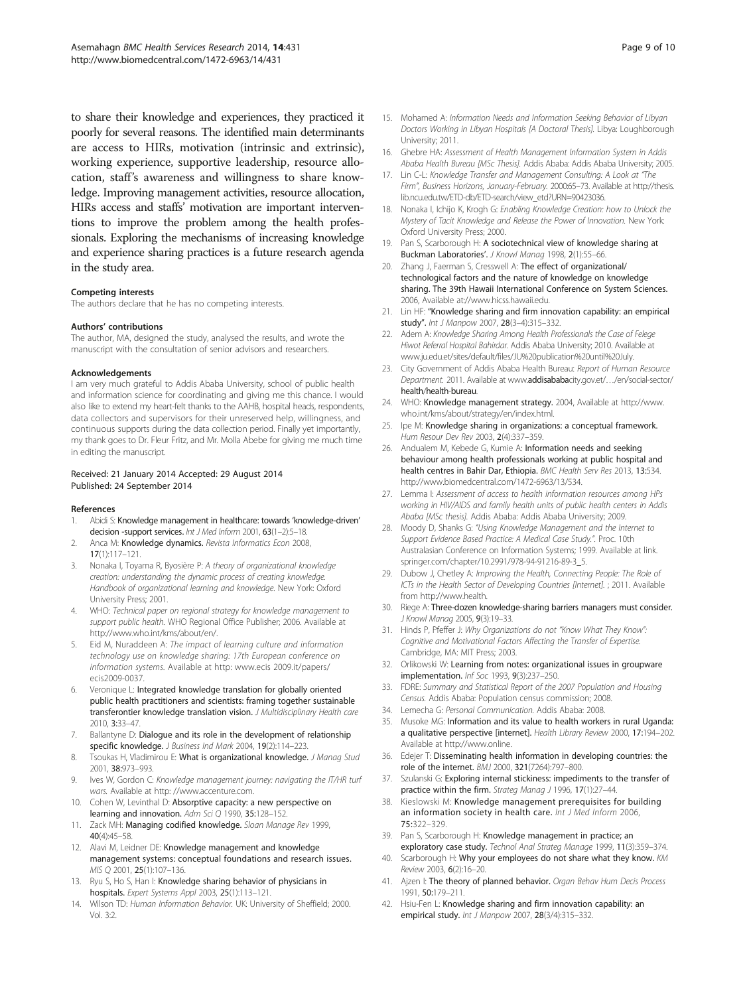<span id="page-8-0"></span>to share their knowledge and experiences, they practiced it poorly for several reasons. The identified main determinants are access to HIRs, motivation (intrinsic and extrinsic), working experience, supportive leadership, resource allocation, staff's awareness and willingness to share knowledge. Improving management activities, resource allocation, HIRs access and staffs' motivation are important interventions to improve the problem among the health professionals. Exploring the mechanisms of increasing knowledge and experience sharing practices is a future research agenda in the study area.

#### Competing interests

The authors declare that he has no competing interests.

#### Authors' contributions

The author, MA, designed the study, analysed the results, and wrote the manuscript with the consultation of senior advisors and researchers.

#### Acknowledgements

I am very much grateful to Addis Ababa University, school of public health and information science for coordinating and giving me this chance. I would also like to extend my heart-felt thanks to the AAHB, hospital heads, respondents, data collectors and supervisors for their unreserved help, willingness, and continuous supports during the data collection period. Finally yet importantly, my thank goes to Dr. Fleur Fritz, and Mr. Molla Abebe for giving me much time in editing the manuscript.

#### Received: 21 January 2014 Accepted: 29 August 2014 Published: 24 September 2014

#### References

- 1. Abidi S: Knowledge management in healthcare: towards 'knowledge-driven' decision -support services. Int J Med Inform 2001, 63(1-2):5-18.
- Anca M: Knowledge dynamics. Revista Informatics Econ 2008, 17(1):117–121.
- 3. Nonaka I, Toyama R, Byosière P: A theory of organizational knowledge creation: understanding the dynamic process of creating knowledge. Handbook of organizational learning and knowledge. New York: Oxford University Press; 2001.
- 4. WHO: Technical paper on regional strategy for knowledge management to support public health. WHO Regional Office Publisher; 2006. Available at [http://www.who.int/kms/about/en/.](http://www.who.int/kms/about/en/)
- 5. Eid M, Nuraddeen A: The impact of learning culture and information technology use on knowledge sharing: 17th European conference on information systems. Available at http: [www.ecis](http://www.ecis/) 2009.it/papers/ ecis2009-0037.
- 6. Veronique L: Integrated knowledge translation for globally oriented public health practitioners and scientists: framing together sustainable transferontier knowledge translation vision. J Multidisciplinary Health care 2010, 3:33–47.
- 7. Ballantyne D: Dialogue and its role in the development of relationship specific knowledge. J Business Ind Mark 2004, 19(2):114–223.
- 8. Tsoukas H, Vladimirou E: What is organizational knowledge. J Manag Stud 2001, 38:973–993.
- 9. Ives W, Gordon C: Knowledge management journey: navigating the IT/HR turf wars. Available at http: /[/www.accenture.com.](http://www.accenture.com/)
- 10. Cohen W, Levinthal D: Absorptive capacity: a new perspective on learning and innovation. Adm Sci Q 1990, 35:128-152.
- 11. Zack MH: Managing codified knowledge. Sloan Manage Rev 1999, 40(4):45–58.
- 12. Alavi M, Leidner DE: Knowledge management and knowledge management systems: conceptual foundations and research issues. MIS Q 2001, 25(1):107–136.
- 13. Ryu S, Ho S, Han I: Knowledge sharing behavior of physicians in hospitals. Expert Systems Appl 2003, 25(1):113–121.
- 14. Wilson TD: Human Information Behavior. UK: University of Sheffield; 2000. Vol. 3:2.
- 15. Mohamed A: Information Needs and Information Seeking Behavior of Libyan Doctors Working in Libyan Hospitals [A Doctoral Thesis]. Libya: Loughborough University; 2011.
- 16. Ghebre HA: Assessment of Health Management Information System in Addis Ababa Health Bureau [MSc Thesis]. Addis Ababa: Addis Ababa University; 2005.
- 17. Lin C-L: Knowledge Transfer and Management Consulting: A Look at "The Firm", Business Horizons, January-February. 2000:65–73. Available at [http://thesis.](http://thesis.lib.ncu.edu.tw/ETD-db/ETD-search/view_etd?URN=90423036) [lib.ncu.edu.tw/ETD-db/ETD-search/view\\_etd?URN=90423036.](http://thesis.lib.ncu.edu.tw/ETD-db/ETD-search/view_etd?URN=90423036)
- 18. Nonaka I, Ichijo K, Krogh G: Enabling Knowledge Creation: how to Unlock the Mystery of Tacit Knowledge and Release the Power of Innovation. New York: Oxford University Press; 2000.
- 19. Pan S, Scarborough H: A sociotechnical view of knowledge sharing at Buckman Laboratories'. J Knowl Manag 1998, 2(1):55-66.
- 20. Zhang J, Faerman S, Cresswell A: The effect of organizational/ technological factors and the nature of knowledge on knowledge sharing. The 39th Hawaii International Conference on System Sciences. 2006, Available at://[www.hicss.hawaii.edu](http://www.hicss.hawaii.edu/).
- 21. Lin HF: "Knowledge sharing and firm innovation capability: an empirical study". Int J Manpow 2007, 28(3–4):315–332.
- 22. Adem A: Knowledge Sharing Among Health Professionals the Case of Felege Hiwot Referral Hospital Bahirdar. Addis Ababa University; 2010. Available at [www.ju.edu.et/sites/default/files/JU%20publication%20until%20July.](http://www.ju.edu.et/sites/default/files/JU%20publication%20until%20July)
- 23. City Government of Addis Ababa Health Bureau: Report of Human Resource Department. 2011. Available at www.addisababacity.gov.et/…[/en/social-sector/](http://www.addisababacity.gov.et/%E2%80%A6/en/social-sector/) health/health-bureau.
- 24. WHO: Knowledge management strategy. 2004, Available at [http://www.](http://www.who.int/kms/about/strategy/en/index.html) [who.int/kms/about/strategy/en/index.html.](http://www.who.int/kms/about/strategy/en/index.html)
- 25. Ipe M: Knowledge sharing in organizations: a conceptual framework. Hum Resour Dev Rev 2003, 2(4):337–359.
- 26. Andualem M, Kebede G, Kumie A: Information needs and seeking behaviour among health professionals working at public hospital and health centres in Bahir Dar, Ethiopia. BMC Health Serv Res 2013, 13:534. <http://www.biomedcentral.com/1472-6963/13/534>.
- 27. Lemma I: Assessment of access to health information resources among HPs working in HIV/AIDS and family health units of public health centers in Addis Ababa [MSc thesis]. Addis Ababa: Addis Ababa University; 2009.
- 28. Moody D, Shanks G: "Using Knowledge Management and the Internet to Support Evidence Based Practice: A Medical Case Study.". Proc. 10th Australasian Conference on Information Systems; 1999. Available at link. springer.com/chapter[/10.2991/978-94-91216-89-3\\_5.](SpringerLink:ChapterTarget)
- 29. Dubow J, Chetley A: Improving the Health, Connecting People: The Role of ICTs in the Health Sector of Developing Countries [Internet]. ; 2011. Available from [http://www.health.](http://www.health/)
- 30. Riege A: Three-dozen knowledge-sharing barriers managers must consider. J Knowl Manag 2005, 9(3):19–33.
- 31. Hinds P, Pfeffer J: Why Organizations do not "Know What They Know": Cognitive and Motivational Factors Affecting the Transfer of Expertise. Cambridge, MA: MIT Press; 2003.
- 32. Orlikowski W: Learning from notes: organizational issues in groupware implementation. Inf Soc 1993, 9(3):237–250.
- 33. FDRE: Summary and Statistical Report of the 2007 Population and Housing Census. Addis Ababa: Population census commission; 2008.
- 34. Lemecha G: Personal Communication. Addis Ababa: 2008.
- 35. Musoke MG: Information and its value to health workers in rural Uganda: a qualitative perspective [internet]. Health Library Review 2000, 17:194–202. Available at [http://www.online](http://www.online/).
- 36. Edejer T: Disseminating health information in developing countries: the role of the internet. BMJ 2000, 321(7264):797–800.
- 37. Szulanski G: Exploring internal stickiness: impediments to the transfer of practice within the firm. Strateg Manag J 1996, 17(1):27–44.
- 38. Kieslowski M: Knowledge management prerequisites for building an information society in health care. Int J Med Inform 2006, 75:322–329.
- 39. Pan S, Scarborough H: Knowledge management in practice; an exploratory case study. Technol Anal Strateg Manage 1999, 11(3):359–374.
- 40. Scarborough H: Why your employees do not share what they know. KM Review 2003, 6(2):16–20.
- 41. Ajzen I: The theory of planned behavior. Organ Behav Hum Decis Process 1991, 50:179–211.
- 42. Hsiu-Fen L: Knowledge sharing and firm innovation capability: an empirical study. Int J Manpow 2007, 28(3/4):315–332.